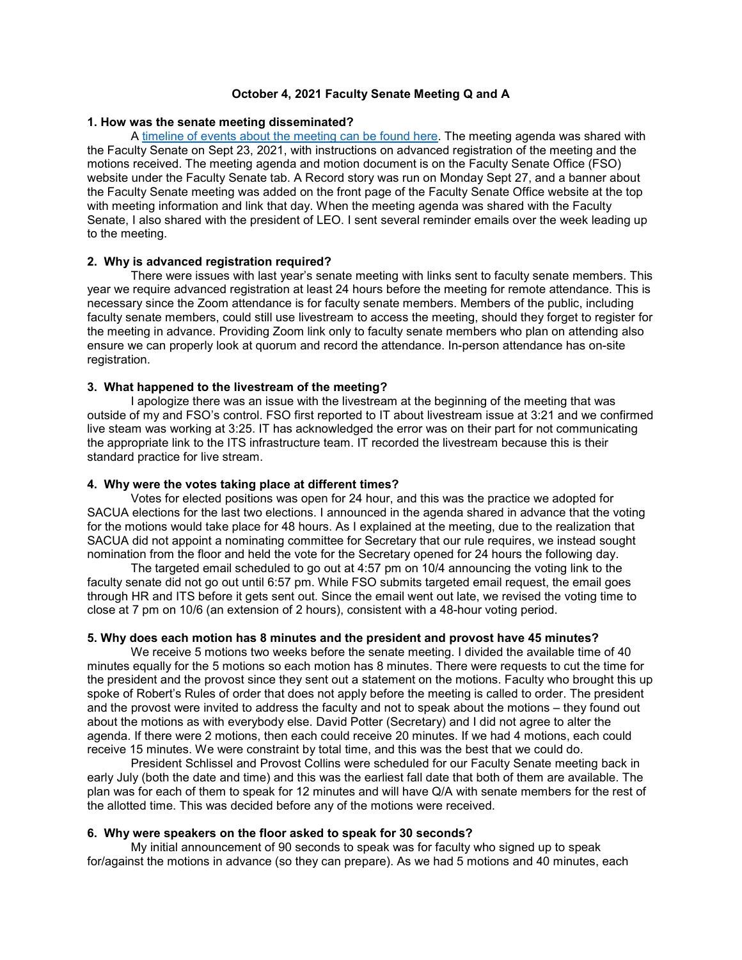# **October 4, 2021 Faculty Senate Meeting Q and A**

## **1. How was the senate meeting disseminated?**

A [timeline of events about the meeting can be found here.](https://facultysenate.umich.edu/wp-content/uploads/2021/10/FacultySenateMeetingTimeline.pdf) The meeting agenda was shared with the Faculty Senate on Sept 23, 2021, with instructions on advanced registration of the meeting and the motions received. The meeting agenda and motion document is on the Faculty Senate Office (FSO) website under the Faculty Senate tab. A Record story was run on Monday Sept 27, and a banner about the Faculty Senate meeting was added on the front page of the Faculty Senate Office website at the top with meeting information and link that day. When the meeting agenda was shared with the Faculty Senate, I also shared with the president of LEO. I sent several reminder emails over the week leading up to the meeting.

### **2. Why is advanced registration required?**

There were issues with last year's senate meeting with links sent to faculty senate members. This year we require advanced registration at least 24 hours before the meeting for remote attendance. This is necessary since the Zoom attendance is for faculty senate members. Members of the public, including faculty senate members, could still use livestream to access the meeting, should they forget to register for the meeting in advance. Providing Zoom link only to faculty senate members who plan on attending also ensure we can properly look at quorum and record the attendance. In-person attendance has on-site registration.

## **3. What happened to the livestream of the meeting?**

I apologize there was an issue with the livestream at the beginning of the meeting that was outside of my and FSO's control. FSO first reported to IT about livestream issue at 3:21 and we confirmed live steam was working at 3:25. IT has acknowledged the error was on their part for not communicating the appropriate link to the ITS infrastructure team. IT recorded the livestream because this is their standard practice for live stream.

#### **4. Why were the votes taking place at different times?**

Votes for elected positions was open for 24 hour, and this was the practice we adopted for SACUA elections for the last two elections. I announced in the agenda shared in advance that the voting for the motions would take place for 48 hours. As I explained at the meeting, due to the realization that SACUA did not appoint a nominating committee for Secretary that our rule requires, we instead sought nomination from the floor and held the vote for the Secretary opened for 24 hours the following day.

The targeted email scheduled to go out at 4:57 pm on 10/4 announcing the voting link to the faculty senate did not go out until 6:57 pm. While FSO submits targeted email request, the email goes through HR and ITS before it gets sent out. Since the email went out late, we revised the voting time to close at 7 pm on 10/6 (an extension of 2 hours), consistent with a 48-hour voting period.

# **5. Why does each motion has 8 minutes and the president and provost have 45 minutes?**

We receive 5 motions two weeks before the senate meeting. I divided the available time of 40 minutes equally for the 5 motions so each motion has 8 minutes. There were requests to cut the time for the president and the provost since they sent out a statement on the motions. Faculty who brought this up spoke of Robert's Rules of order that does not apply before the meeting is called to order. The president and the provost were invited to address the faculty and not to speak about the motions – they found out about the motions as with everybody else. David Potter (Secretary) and I did not agree to alter the agenda. If there were 2 motions, then each could receive 20 minutes. If we had 4 motions, each could receive 15 minutes. We were constraint by total time, and this was the best that we could do.

President Schlissel and Provost Collins were scheduled for our Faculty Senate meeting back in early July (both the date and time) and this was the earliest fall date that both of them are available. The plan was for each of them to speak for 12 minutes and will have Q/A with senate members for the rest of the allotted time. This was decided before any of the motions were received.

# **6. Why were speakers on the floor asked to speak for 30 seconds?**

My initial announcement of 90 seconds to speak was for faculty who signed up to speak for/against the motions in advance (so they can prepare). As we had 5 motions and 40 minutes, each